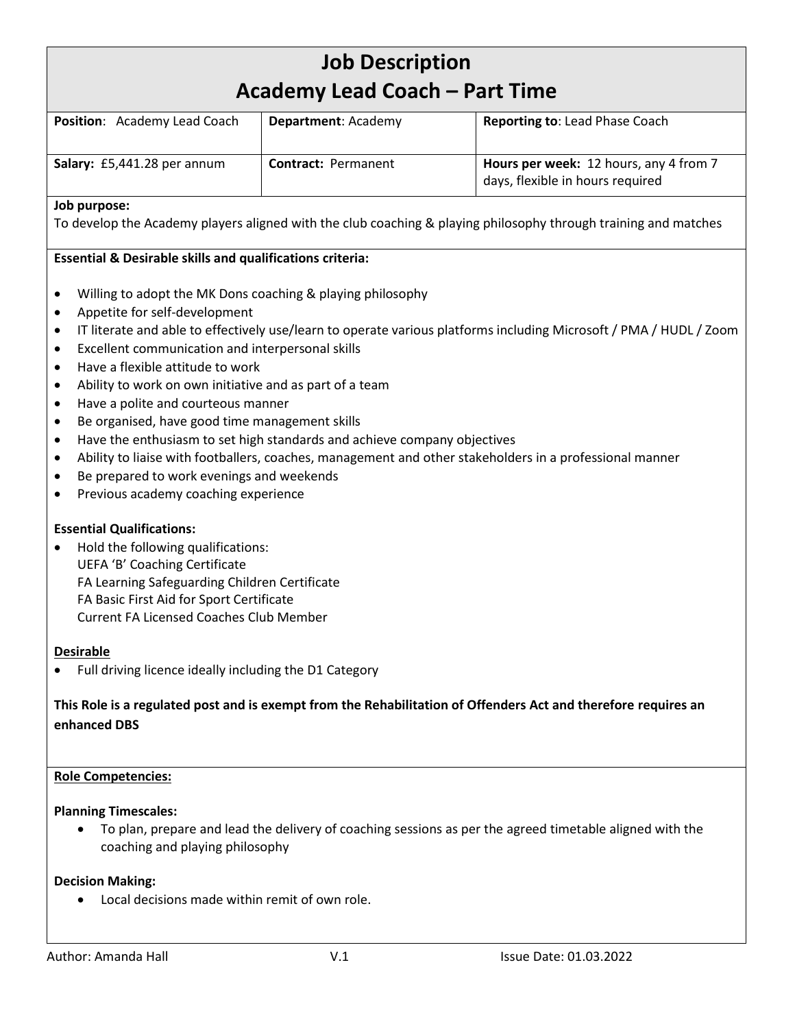# **Job Description Academy Lead Coach – Part Time Position:** Academy Lead Coach | Department: Academy | Reporting to: Lead Phase Coach **Salary:** £5,441.28 per annum **Contract:** Permanent **Hours per week:** 12 hours, any 4 from 7 days, flexible in hours required **Job purpose:** To develop the Academy players aligned with the club coaching & playing philosophy through training and matches **Essential & Desirable skills and qualifications criteria:** • Willing to adopt the MK Dons coaching & playing philosophy • Appetite for self-development • IT literate and able to effectively use/learn to operate various platforms including Microsoft / PMA / HUDL / Zoom • Excellent communication and interpersonal skills • Have a flexible attitude to work Ability to work on own initiative and as part of a team • Have a polite and courteous manner • Be organised, have good time management skills • Have the enthusiasm to set high standards and achieve company objectives • Ability to liaise with footballers, coaches, management and other stakeholders in a professional manner Be prepared to work evenings and weekends • Previous academy coaching experience **Essential Qualifications:** • Hold the following qualifications: UEFA 'B' Coaching Certificate FA Learning Safeguarding Children Certificate FA Basic First Aid for Sport Certificate Current FA Licensed Coaches Club Member **Desirable** • Full driving licence ideally including the D1 Category **This Role is a regulated post and is exempt from the Rehabilitation of Offenders Act and therefore requires an enhanced DBS Role Competencies: Planning Timescales:** • To plan, prepare and lead the delivery of coaching sessions as per the agreed timetable aligned with the coaching and playing philosophy

## **Decision Making:**

• Local decisions made within remit of own role.